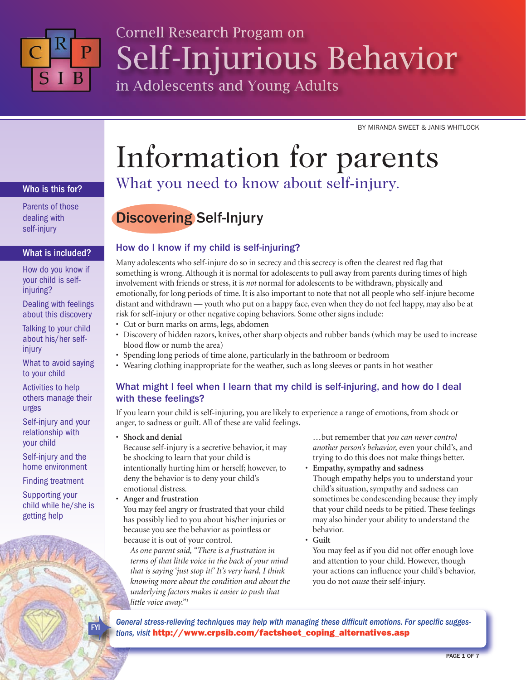

## Cornell Research Progam on Self-Injurious Behavior in Adolescents and Young Adults

BY MIRANDA SWEET & JANIS WHITLOCK

## Information for parents

#### Who is this for?

Parents of those dealing with self-injury

#### What is included?

How do you know if your child is selfinjuring?

Dealing with feelings about this discovery

Talking to your child about his/her selfinjury

What to avoid saying to your child

Activities to help others manage their urges

Self-injury and your relationship with your child

Self-injury and the home environment

Finding treatment

Supporting your child while he/she is getting help

# What you need to know about self-injury.

## Discovering Self-Injury

#### How do I know if my child is self-injuring?

Many adolescents who self-injure do so in secrecy and this secrecy is often the clearest red flag that something is wrong. Although it is normal for adolescents to pull away from parents during times of high involvement with friends or stress, it is *not* normal for adolescents to be withdrawn, physically and emotionally, for long periods of time. It is also important to note that not all people who self-injure become distant and withdrawn — youth who put on a happy face, even when they do not feel happy, may also be at risk for self-injury or other negative coping behaviors. Some other signs include:

- Cut or burn marks on arms, legs, abdomen
- Discovery of hidden razors, knives, other sharp objects and rubber bands (which may be used to increase blood flow or numb the area)
- Spending long periods of time alone, particularly in the bathroom or bedroom
- Wearing clothing inappropriate for the weather, such as long sleeves or pants in hot weather

#### What might I feel when I learn that my child is self-injuring, and how do I deal with these feelings?

If you learn your child is self-injuring, you are likely to experience a range of emotions, from shock or anger, to sadness or guilt. All of these are valid feelings.

• **Shock and denial**

Because self-injury is a secretive behavior, it may be shocking to learn that your child is intentionally hurting him or herself; however, to deny the behavior is to deny your child's emotional distress.

• **Anger and frustration** You may feel angry or frustrated that your child has possibly lied to you about his/her injuries or because you see the behavior as pointless or because it is out of your control.

*As one parent said, "There is a frustration in terms of that little voice in the back of your mind that is saying 'just stop it!' It's very hard, I think knowing more about the condition and about the underlying factors makes it easier to push that little voice away."1*

…but remember that *you can never control another person's behavior,* even your child's, and trying to do this does not make things better.

- **Empathy, sympathy and sadness** Though empathy helps you to understand your child's situation, sympathy and sadness can sometimes be condescending because they imply that your child needs to be pitied. These feelings may also hinder your ability to understand the behavior.
- **Guilt**
- You may feel as if you did not offer enough love and attention to your child. However, though your actions can influence your child's behavior, you do not *cause* their self-injury.

*General stress-relieving techniques may help with managing these difficult emotions. For specific sugges***tions, visit http://www.crpsib.com/factsheet\_coping\_alternatives.asp**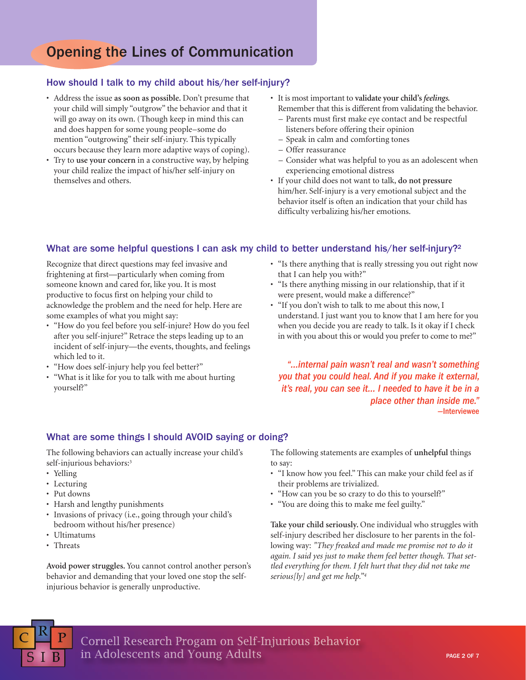### Opening the Lines of Communication

#### How should I talk to my child about his/her self-injury?

- Address the issue **as soon as possible.** Don't presume that your child will simply "outgrow" the behavior and that it will go away on its own. (Though keep in mind this can and does happen for some young people–some do mention "outgrowing" their self-injury. This typically occurs because they learn more adaptive ways of coping).
- Try to **use your concern** in a constructive way, by helping your child realize the impact of his/her self-injury on themselves and others.
- It is most important to **validate your child's** *feelings.* Remember that this is different from validating the behavior.
	- Parents must first make eye contact and be respectful listeners before offering their opinion
	- Speak in calm and comforting tones
	- Offer reassurance
	- Consider what was helpful to you as an adolescent when experiencing emotional distress
- If your child does not want to talk, **do not pressure** him/her. Self-injury is a very emotional subject and the behavior itself is often an indication that your child has difficulty verbalizing his/her emotions.

#### What are some helpful questions I can ask my child to better understand his/her self-injury?<sup>2</sup>

Recognize that direct questions may feel invasive and frightening at first—particularly when coming from someone known and cared for, like you. It is most productive to focus first on helping your child to acknowledge the problem and the need for help. Here are some examples of what you might say:

- "How do you feel before you self-injure? How do you feel after you self-injure?" Retrace the steps leading up to an incident of self-injury—the events, thoughts, and feelings which led to it.
- "How does self-injury help you feel better?"
- "What is it like for you to talk with me about hurting yourself?"
- "Is there anything that is really stressing you out right now that I can help you with?"
- "Is there anything missing in our relationship, that if it were present, would make a difference?"
- "If you don't wish to talk to me about this now, I understand. I just want you to know that I am here for you when you decide you are ready to talk. Is it okay if I check in with you about this or would you prefer to come to me?"

*"…internal pain wasn't real and wasn't something you that you could heal. And if you make it external, it's real, you can see it… I needed to have it be in a place other than inside me."* —Interviewee

#### What are some things I should AVOID saying or doing?

The following behaviors can actually increase your child's self-injurious behaviors:<sup>3</sup>

- Yelling
- Lecturing
- Put downs
- Harsh and lengthy punishments
- Invasions of privacy (i.e., going through your child's bedroom without his/her presence)
- Ultimatums
- Threats

**Avoid power struggles.** You cannot control another person's behavior and demanding that your loved one stop the selfinjurious behavior is generally unproductive.

The following statements are examples of **unhelpful** things to say:

- "I know how you feel." This can make your child feel as if their problems are trivialized.
- "How can you be so crazy to do this to yourself?"
- "You are doing this to make me feel guilty."

**Take your child seriously.** One individual who struggles with self-injury described her disclosure to her parents in the following way: *"They freaked and made me promise not to do it again. I said yes just to make them feel better though. That settled everything for them. I felt hurt that they did not take me serious[ly] and get me help."4*

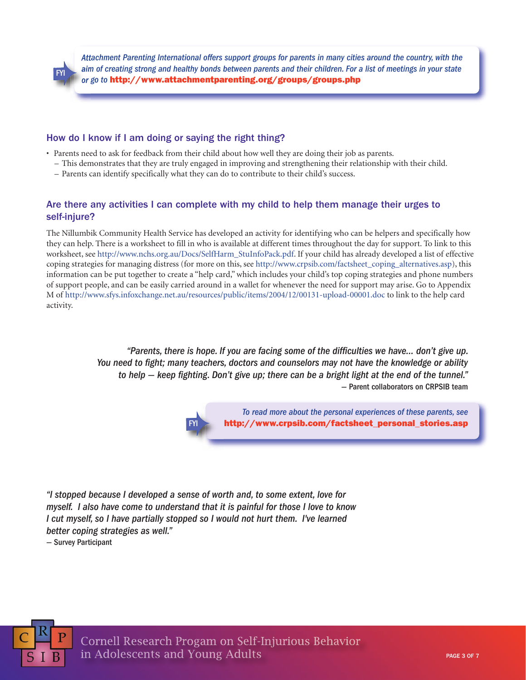*Attachment Parenting International offers support groups for parents in many cities around the country, with the aim of creating strong and healthy bonds between parents and their children. For a list of meetings in your state or go to* **<http://www.attachmentparenting.org/groups/groups.php>**

#### How do I know if I am doing or saying the right thing?

- Parents need to ask for feedback from their child about how well they are doing their job as parents.
	- This demonstrates that they are truly engaged in improving and strengthening their relationship with their child.
	- Parents can identify specifically what they can do to contribute to their child's success.

#### Are there any activities I can complete with my child to help them manage their urges to self-injure?

The Nillumbik Community Health Service has developed an activity for identifying who can be helpers and specifically how they can help. There is a worksheet to fill in who is available at different times throughout the day for support. To link to this worksheet, see [http://www.nchs.org.au/Docs/SelfHarm\\_StuInfoPack.pdf.](http://www.nchs.org.au/Docs/SelfHarm_StuInfoPack.pdf) If your child has already developed a list of effective coping strategies for managing distress (for more on this, see [http://www.crpsib.com/factsheet\\_coping\\_alternatives.asp\)](http://www.crpsib.com/factsheet_coping_alternatives.asp), this information can be put together to create a "help card," which includes your child's top coping strategies and phone numbers of support people, and can be easily carried around in a wallet for whenever the need for support may arise. Go to Appendix M of <http://www.sfys.infoxchange.net.au/resources/public/items/2004/12/00131-upload-00001.doc> to link to the help card activity.

> *"Parents, there is hope. If you are facing some of the difficulties we have… don't give up. You need to fight; many teachers, doctors and counselors may not have the knowledge or ability to help — keep fighting. Don't give up; there can be a bright light at the end of the tunnel."* — Parent collaborators on CRPSIB team

> > *To read more about the personal experiences of these parents, see* http://www.crpsib.com/factsheet personal stories.asp

*"I stopped because I developed a sense of worth and, to some extent, love for myself. I also have come to understand that it is painful for those I love to know I cut myself, so I have partially stopped so I would not hurt them. I've learned better coping strategies as well."*

— Survey Participant

FYI

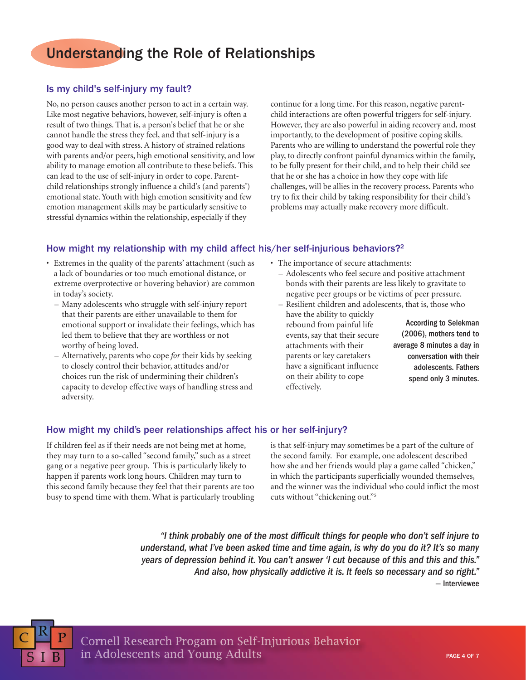### Understanding the Role of Relationships

#### Is my child's self-injury my fault?

No, no person causes another person to act in a certain way. Like most negative behaviors, however, self-injury is often a result of two things. That is, a person's belief that he or she cannot handle the stress they feel, and that self-injury is a good way to deal with stress. A history of strained relations with parents and/or peers, high emotional sensitivity, and low ability to manage emotion all contribute to these beliefs. This can lead to the use of self-injury in order to cope. Parentchild relationships strongly influence a child's (and parents') emotional state. Youth with high emotion sensitivity and few emotion management skills may be particularly sensitive to stressful dynamics within the relationship, especially if they

continue for a long time. For this reason, negative parentchild interactions are often powerful triggers for self-injury. However, they are also powerful in aiding recovery and, most importantly, to the development of positive coping skills. Parents who are willing to understand the powerful role they play, to directly confront painful dynamics within the family, to be fully present for their child, and to help their child see that he or she has a choice in how they cope with life challenges, will be allies in the recovery process. Parents who try to fix their child by taking responsibility for their child's problems may actually make recovery more difficult.

#### How might my relationship with my child affect his/her self-injurious behaviors?<sup>2</sup>

- Extremes in the quality of the parents' attachment (such as a lack of boundaries or too much emotional distance, or extreme overprotective or hovering behavior) are common in today's society.
	- Many adolescents who struggle with self-injury report that their parents are either unavailable to them for emotional support or invalidate their feelings, which has led them to believe that they are worthless or not worthy of being loved.
	- Alternatively, parents who cope *for* their kids by seeking to closely control their behavior, attitudes and/or choices run the risk of undermining their children's capacity to develop effective ways of handling stress and adversity.
- The importance of secure attachments:
	- Adolescents who feel secure and positive attachment bonds with their parents are less likely to gravitate to negative peer groups or be victims of peer pressure.
	- Resilient children and adolescents, that is, those who
	- have the ability to quickly rebound from painful life events, say that their secure attachments with their parents or key caretakers have a significant influence on their ability to cope effectively.

According to Selekman (2006), mothers tend to average 8 minutes a day in conversation with their adolescents. Fathers spend only 3 minutes.

#### How might my child's peer relationships affect his or her self-injury?

If children feel as if their needs are not being met at home, they may turn to a so-called "second family," such as a street gang or a negative peer group. This is particularly likely to happen if parents work long hours. Children may turn to this second family because they feel that their parents are too busy to spend time with them. What is particularly troubling is that self-injury may sometimes be a part of the culture of the second family. For example, one adolescent described how she and her friends would play a game called "chicken," in which the participants superficially wounded themselves, and the winner was the individual who could inflict the most cuts without "chickening out."5

*"I think probably one of the most difficult things for people who don't self injure to understand, what I've been asked time and time again, is why do you do it? It's so many years of depression behind it. You can't answer 'I cut because of this and this and this." And also, how physically addictive it is. It feels so necessary and so right."* — Interviewee

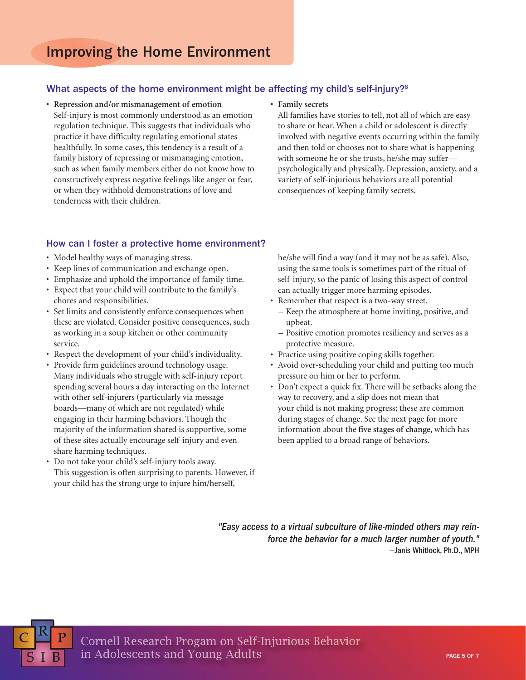#### What aspects of the home environment might be affecting my child's self-injury?<sup>6</sup>

- **Repression and/or mismanagement of emotion** Self-injury is most commonly understood as an emotion regulation technique. This suggests that individuals who practice it have difficulty regulating emotional states healthfully. In some cases, this tendency is a result of a family history of repressing or mismanaging emotion, such as when family members either do not know how to constructively express negative feelings like anger or fear, or when they withhold demonstrations of love and tenderness with their children.
- **Family secrets**

All families have stories to tell, not all of which are easy to share or hear. When a child or adolescent is directly involved with negative events occurring within the family and then told or chooses not to share what is happening with someone he or she trusts, he/she may suffer psychologically and physically. Depression, anxiety, and a variety of self-injurious behaviors are all potential consequences of keeping family secrets.

#### How can I foster a protective home environment?

- Model healthy ways of managing stress.
- Keep lines of communication and exchange open.
- Emphasize and uphold the importance of family time.
- Expect that your child will contribute to the family's chores and responsibilities.
- Set limits and consistently enforce consequences when these are violated. Consider positive consequences, such as working in a soup kitchen or other community service.
- Respect the development of your child's individuality.
- Provide firm guidelines around technology usage. Many individuals who struggle with self-injury report spending several hours a day interacting on the Internet with other self-injurers (particularly via message boards—many of which are not regulated) while engaging in their harming behaviors. Though the majority of the information shared is supportive, some of these sites actually encourage self-injury and even share harming techniques.
- Do not take your child's self-injury tools away. This suggestion is often surprising to parents. However, if your child has the strong urge to injure him/herself,

he/she will find a way (and it may not be as safe). Also, using the same tools is sometimes part of the ritual of self-injury, so the panic of losing this aspect of control can actually trigger more harming episodes.

- Remember that respect is a two-way street.
	- Keep the atmosphere at home inviting, positive, and upbeat.
	- Positive emotion promotes resiliency and serves as a protective measure.
- Practice using positive coping skills together.
- Avoid over-scheduling your child and putting too much pressure on him or her to perform.
- Don't expect a quick fix. There will be setbacks along the way to recovery, and a slip does not mean that your child is not making progress; these are common during stages of change. See the next page for more information about the **five stages of change,** which has been applied to a broad range of behaviors.

*"Easy access to a virtual subculture of like-minded others may reinforce the behavior for a much larger number of youth."* —Janis Whitlock, Ph.D., MPH

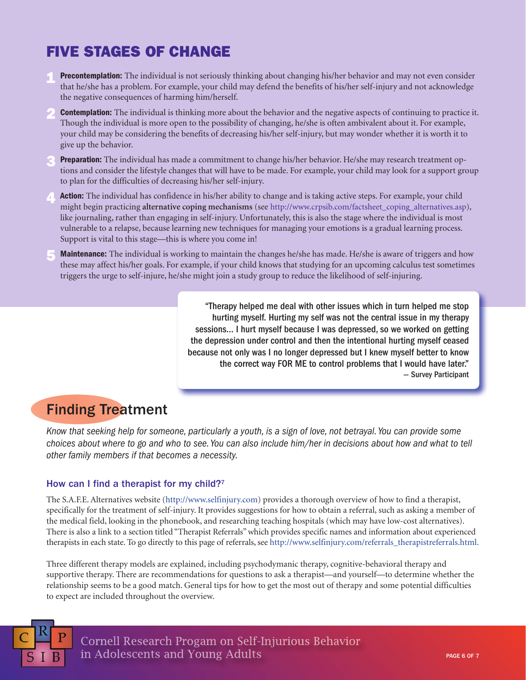## **FIVE STAGES OF CHANGE**

- **Precontemplation:** The individual is not seriously thinking about changing his/her behavior and may not even consider that he/she has a problem. For example, your child may defend the benefits of his/her self-injury and not acknowledge the negative consequences of harming him/herself. **1**
- **Contemplation:** The individual is thinking more about the behavior and the negative aspects of continuing to practice it. Though the individual is more open to the possibility of changing, he/she is often ambivalent about it. For example, your child may be considering the benefits of decreasing his/her self-injury, but may wonder whether it is worth it to give up the behavior. **2**
- **Preparation:** The individual has made a commitment to change his/her behavior. He/she may research treatment options and consider the lifestyle changes that will have to be made. For example, your child may look for a support group to plan for the difficulties of decreasing his/her self-injury. **3**
- **Action:** The individual has confidence in his/her ability to change and is taking active steps. For example, your child might begin practicing **alternative coping mechanisms** (see [http://www.crpsib.com/factsheet\\_coping\\_alternatives.asp\)](http://www.crpsib.com/factsheet_coping_alternatives.asp), like journaling, rather than engaging in self-injury. Unfortunately, this is also the stage where the individual is most vulnerable to a relapse, because learning new techniques for managing your emotions is a gradual learning process. Support is vital to this stage—this is where you come in! **4**
- **Maintenance:** The individual is working to maintain the changes he/she has made. He/she is aware of triggers and how these may affect his/her goals. For example, if your child knows that studying for an upcoming calculus test sometimes triggers the urge to self-injure, he/she might join a study group to reduce the likelihood of self-injuring. **5**

"Therapy helped me deal with other issues which in turn helped me stop hurting myself. Hurting my self was not the central issue in my therapy sessions… I hurt myself because I was depressed, so we worked on getting the depression under control and then the intentional hurting myself ceased because not only was I no longer depressed but I knew myself better to know the correct way FOR ME to control problems that I would have later." — Survey Participant

## Finding Treatment

*Know that seeking help for someone, particularly a youth, is a sign of love, not betrayal. You can provide some choices about where to go and who to see. You can also include him/her in decisions about how and what to tell other family members if that becomes a necessity.*

#### How can I find a therapist for my child?<sup>7</sup>

The S.A.F.E. Alternatives website [\(http://www.selfinjury.com\)](http://www.selfinjury.com) provides a thorough overview of how to find a therapist, specifically for the treatment of self-injury. It provides suggestions for how to obtain a referral, such as asking a member of the medical field, looking in the phonebook, and researching teaching hospitals (which may have low-cost alternatives). There is also a link to a section titled "Therapist Referrals" which provides specific names and information about experienced therapists in each state. To go directly to this page of referrals, see http://www.selfinjury.com/referrals\_therapistreferrals.html.

Three different therapy models are explained, including psychodymanic therapy, cognitive-behavioral therapy and supportive therapy. There are recommendations for questions to ask a therapist—and yourself—to determine whether the relationship seems to be a good match. General tips for how to get the most out of therapy and some potential difficulties to expect are included throughout the overview.